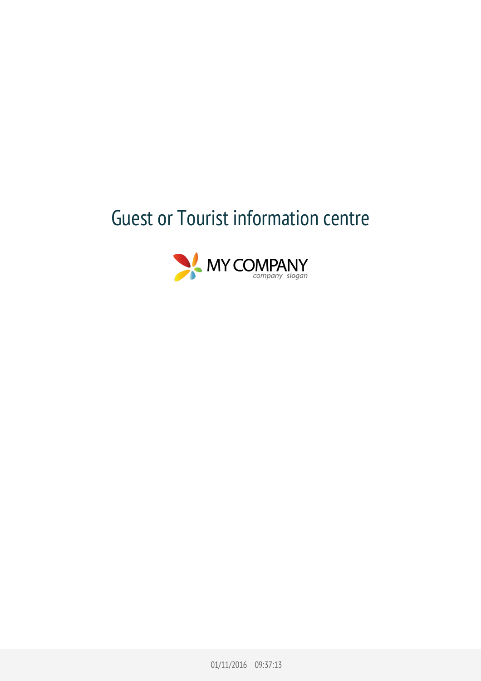## Guest or Tourist information centre



01/11/2016 09:37:13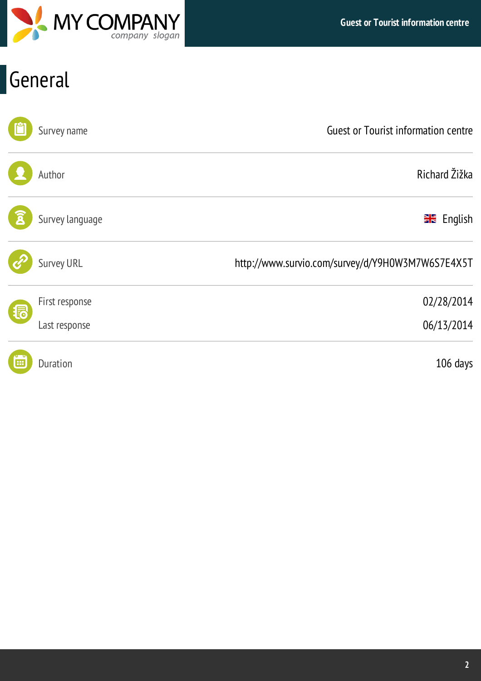

# General

|    | Survey name       | <b>Guest or Tourist information centre</b>       |
|----|-------------------|--------------------------------------------------|
|    | Author            | Richard Žižka                                    |
|    | Survey language   | <b>X</b> English                                 |
|    | <b>Survey URL</b> | http://www.survio.com/survey/d/Y9H0W3M7W6S7E4X5T |
| (掲 | First response    | 02/28/2014                                       |
|    | Last response     | 06/13/2014                                       |
| 囲  | <b>Duration</b>   | 106 days                                         |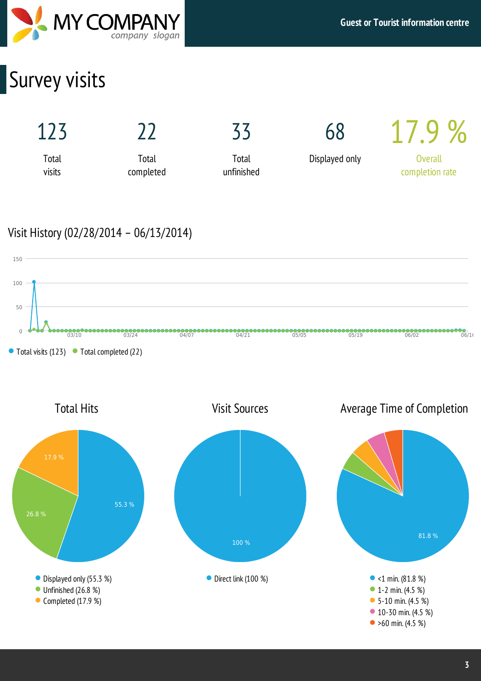

## Survey visits



## Visit History (02/28/2014 – 06/13/2014)



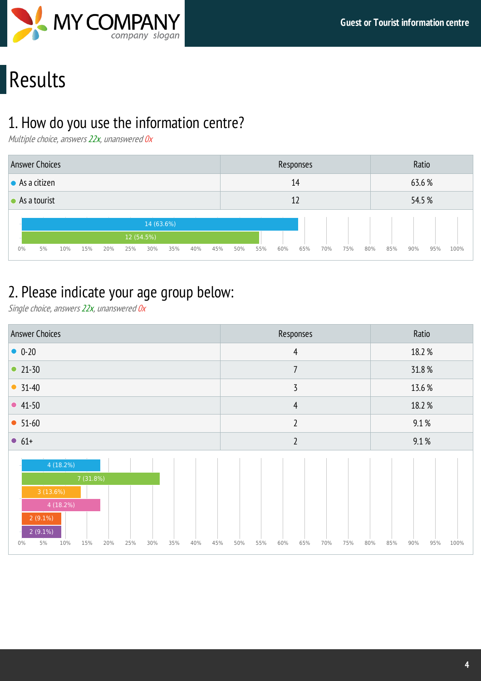

# Results

## 1. How do you use the information centre?

Multiple choice, answers 22x, unanswered 0x

| <b>Answer Choices</b>  |    |     |     |     |     |            |     |     |     |     |     |     | Responses |     |     |     |     | Ratio  |     |      |
|------------------------|----|-----|-----|-----|-----|------------|-----|-----|-----|-----|-----|-----|-----------|-----|-----|-----|-----|--------|-----|------|
| $\bullet$ As a citizen |    |     |     |     |     |            |     |     |     |     |     |     | 14        |     |     |     |     | 63.6%  |     |      |
| $\bullet$ As a tourist |    |     |     |     |     |            |     |     |     |     |     |     | 12        |     |     |     |     | 54.5 % |     |      |
|                        |    |     |     |     |     | 14 (63.6%) |     |     |     |     |     |     |           |     |     |     |     |        |     |      |
|                        |    |     |     |     |     | 12 (54.5%) |     |     |     |     |     |     |           |     |     |     |     |        |     |      |
| $0\%$                  | 5% | 10% | 15% | 20% | 25% | 30%        | 35% | 40% | 45% | 50% | 55% | 60% | 65%       | 70% | 75% | 80% | 85% | 90%    | 95% | 100% |

## 2. Please indicate your age group below:

Single choice, answers 22x, unanswered 0x

| <b>Answer Choices</b>                                                                                                                            | Responses                                     | Ratio                     |
|--------------------------------------------------------------------------------------------------------------------------------------------------|-----------------------------------------------|---------------------------|
| $0 - 20$                                                                                                                                         | $\overline{4}$                                | 18.2 %                    |
| • $21-30$                                                                                                                                        | $\overline{7}$                                | 31.8%                     |
| $• 31-40$                                                                                                                                        | $\overline{3}$                                | 13.6 %                    |
| • $41-50$                                                                                                                                        | $\overline{4}$                                | 18.2 %                    |
| $• 51-60$                                                                                                                                        | $\overline{2}$                                | 9.1%                      |
| $• 61+$                                                                                                                                          | $\overline{2}$                                | 9.1%                      |
| 4(18.2%)<br>7 (31.8%)<br>3(13.6%)<br>4(18.2%)<br>$2(9.1\%)$<br>$2(9.1\%)$<br>5%<br>$0\%$<br>10%<br>15%<br>20%<br>25%<br>30%<br>35%<br>40%<br>45% | 75%<br>50%<br>55%<br>60%<br>65%<br>70%<br>80% | 95%<br>85%<br>90%<br>100% |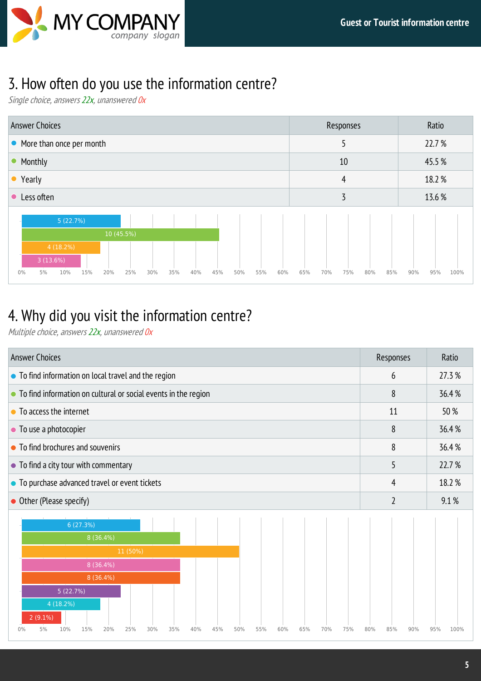## 3. How often do you use the information centre?

Single choice, answers 22x, unanswered 0x

| <b>Answer Choices</b>                                                                                            | Responses                       | Ratio              |
|------------------------------------------------------------------------------------------------------------------|---------------------------------|--------------------|
| • More than once per month                                                                                       | כ                               | 22.7 %             |
| • Monthly                                                                                                        | 10                              | 45.5%              |
| • Yearly                                                                                                         | 4                               | 18.2 %             |
| • Less often                                                                                                     | 3                               | 13.6 %             |
| 5(22.7%)                                                                                                         |                                 |                    |
| 10 (45.5%)                                                                                                       |                                 |                    |
| 4(18.2%)<br>3(13.6%)<br>$0\%$<br>15%<br>25%<br>45%<br>5%<br>10%<br>20%<br>30%<br>35%<br>40%<br>50%<br>55%<br>60% | 85%<br>65%<br>70%<br>75%<br>80% | 90%<br>100%<br>95% |

## 4. Why did you visit the information centre?

Multiple choice, answers 22x, unanswered 0x

|                                                                                                                                                                                                                         | Responses      | Ratio       |
|-------------------------------------------------------------------------------------------------------------------------------------------------------------------------------------------------------------------------|----------------|-------------|
| • To find information on local travel and the region                                                                                                                                                                    | 6              | 27.3 %      |
| • To find information on cultural or social events in the region                                                                                                                                                        | 8              | 36.4%       |
| • To access the internet                                                                                                                                                                                                | 11             | 50%         |
| • To use a photocopier                                                                                                                                                                                                  | 8              | 36.4 %      |
| • To find brochures and souvenirs                                                                                                                                                                                       | 8              | 36.4%       |
| • To find a city tour with commentary                                                                                                                                                                                   | 5              | 22.7 %      |
| • To purchase advanced travel or event tickets                                                                                                                                                                          | 4              | 18.2 %      |
| • Other (Please specify)                                                                                                                                                                                                | $\overline{2}$ | 9.1%        |
| 6 (27.3%)<br>8(36.4%)<br>11 (50%)<br>8 (36.4%)<br>8 (36.4%)<br>5 (22.7%)<br>4(18.2%)<br>$2(9.1\%)$<br>0%<br>5%<br>10%<br>15%<br>20%<br>25%<br>30%<br>35%<br>40%<br>45%<br>50%<br>55%<br>60%<br>65%<br>70%<br>75%<br>80% | 85%<br>90%     | 95%<br>100% |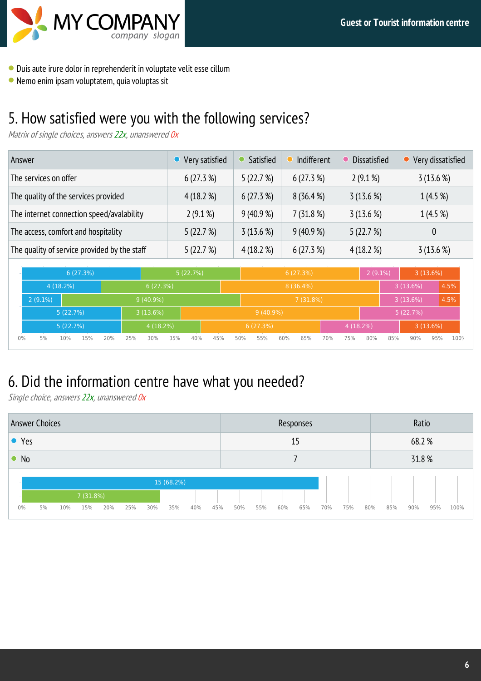

- Duisaute irure dolor in reprehenderit in voluptate velit esse cillum
- Nemo enim ipsam voluptatem, quia voluptas sit

## 5. How satisfied were you with the following services?

Matrix of single choices, answers 22x, unanswered 0x

| Answer                                       | Very satisfied | Satisfied | Indifferent | Dissatisfied | • Very dissatisfied |
|----------------------------------------------|----------------|-----------|-------------|--------------|---------------------|
| The services on offer                        | 6(27.3%)       | 5(22.7%)  | 6(27.3%)    | $2(9.1\%)$   | 3(13.6%)            |
| The quality of the services provided         | 4(18.2%)       | 6(27.3%)  | 8(36.4%)    | 3(13.6%)     | 1(4.5%)             |
| The internet connection speed/avalability    | $2(9.1\%)$     | 9(40.9%   | 7(31.8%)    | 3(13.6%)     | 1(4.5%)             |
| The access, comfort and hospitality          | 5(22.7%)       | 3(13.6%)  | 9(40.9%     | 5(22.7%)     | 0                   |
| The quality of service provided by the staff | 5(22.7%)       | 4(18.2%   | 6(27.3%)    | 4(18.2%      | 3(13.6%)            |

|       |            |             | 6(27.3%) |     |     | 5(22.7%)    |     |     | 6(27.3%) |     |             |     |             | $2(9.1\%)$ |             | 3(13.6%) |     |          |          |      |
|-------|------------|-------------|----------|-----|-----|-------------|-----|-----|----------|-----|-------------|-----|-------------|------------|-------------|----------|-----|----------|----------|------|
|       |            | $4(18.2\%)$ |          |     |     | 6(27.3%)    |     |     |          |     |             |     | $8(36.4\%)$ |            |             |          |     | 3(13.6%) |          | 4.5% |
|       | $2(9.1\%)$ |             |          |     |     | $9(40.9\%)$ |     |     |          |     |             |     | 7(31.8%)    |            |             |          |     | 3(13.6%) |          | 4.5% |
|       |            | 5(22.7%)    |          |     |     | 3(13.6%)    |     |     |          |     | $9(40.9\%)$ |     |             |            |             |          |     | 5(22.7%) |          |      |
|       |            | 5(22.7%)    |          |     |     | 4(18.2%)    |     |     |          |     | 6(27.3%)    |     |             |            | $4(18.2\%)$ |          |     |          | 3(13.6%) |      |
| $0\%$ | 5%         | 10%         | 15%      | 20% | 25% | 30%         | 35% | 40% | 45%      | 50% | 55%         | 60% | 65%         | 70%        | 75%         | 80%      | 85% | 90%      | 95%      | 100% |

## 6. Did the information centre have what you needed?

Single choice, answers 22x, unanswered 0x

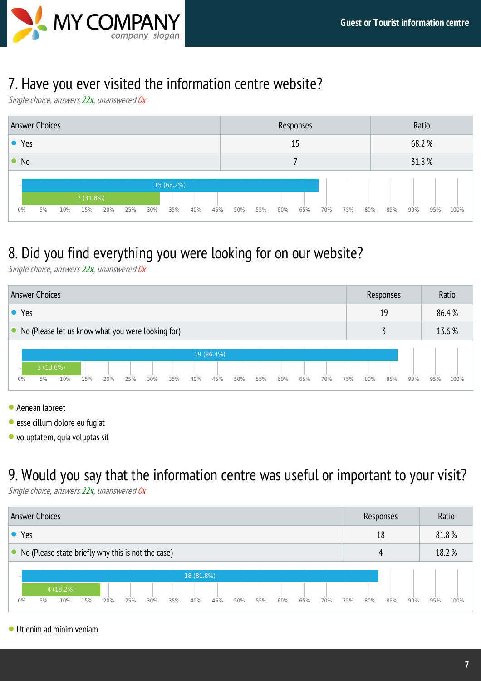

### 7. Have you ever visited the information centre website?

Single choice, answers 22x, unanswered 0x



## 8. Did you find everything you were looking for on our website?

Single choice, answers 22x, unanswered Ox



- Aenean laoreet
- esse cillum dolore eu fugiat
- $\bullet$  voluptatem, quia voluptas sit

### 9. Would you say that the information centre was useful or important to your visit?

Single choice, answers 22x, unanswered Ox



Ut enim ad minim veniam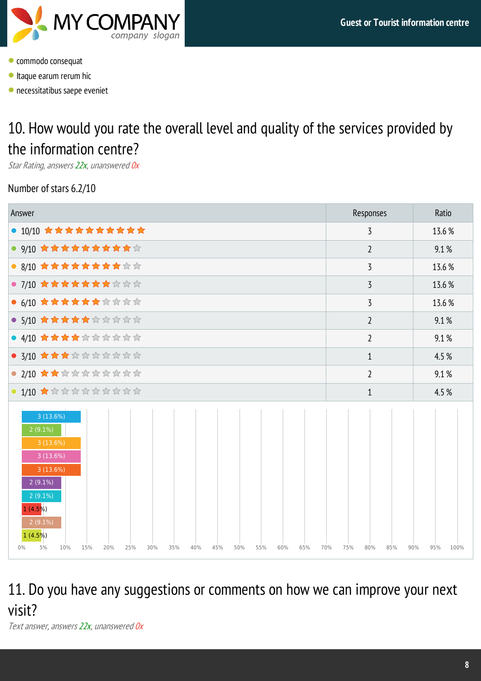

- **Commodo consequat**
- Itaque earum rerum hic
- necessitatibus saepe eveniet

## 10. How would you rate the overall level and quality of the services provided by the information centre?

Star Rating, answers 22x, unanswered Ox

### Number of stars 6.2/10

| Answer                                                                                                                                                                                                                        | Responses                | Ratio              |
|-------------------------------------------------------------------------------------------------------------------------------------------------------------------------------------------------------------------------------|--------------------------|--------------------|
| ● 10/10 女女女女女女女女女女                                                                                                                                                                                                            | 3                        | 13.6 %             |
| ● 9/10 女女女女女女女女女女☆                                                                                                                                                                                                            | $\overline{2}$           | 9.1%               |
| ● 8/10 ★★★★★★★★☆☆                                                                                                                                                                                                             | 3                        | 13.6 %             |
| ● 7/10 ★★★★★★★☆☆☆                                                                                                                                                                                                             | 3                        | 13.6 %             |
| ● 6/10 ★★★★★★☆☆☆☆                                                                                                                                                                                                             | 3                        | 13.6 %             |
| ● 5/10 ★★★★★☆☆☆☆☆                                                                                                                                                                                                             | $\overline{2}$           | 9.1%               |
| ● 4/10 ★★★★☆☆☆☆☆☆                                                                                                                                                                                                             | $\overline{2}$           | 9.1%               |
| ● 3/10 ★★★☆☆☆☆☆☆☆                                                                                                                                                                                                             | $\mathbf{1}$             | 4.5 %              |
| ● 2/10 ★★☆☆☆☆☆☆☆☆                                                                                                                                                                                                             | $\overline{2}$           | 9.1%               |
| $\bullet$ 1/10 $\star$ to the theory that the theory that the theory                                                                                                                                                          | $\mathbf{1}$             | 4.5 %              |
| 3(13.6%)<br>$2(9.1\%)$<br>3(13.6%)<br>3(13.6%)<br>3(13.6%)<br>$2(9.1\%)$<br>$2(9.1\%)$<br>1(4.5%)<br>$2(9.1\%)$<br>1(4.5%)<br>5%<br>$0\%$<br>10%<br>15%<br>20%<br>25%<br>30%<br>35%<br>40%<br>45%<br>50%<br>55%<br>60%<br>65% | 70%<br>75%<br>80%<br>85% | 90%<br>95%<br>100% |

## 11. Do you have any suggestions or comments on how we can improve your next visit?

Text answer, answers 22x, unanswered 0x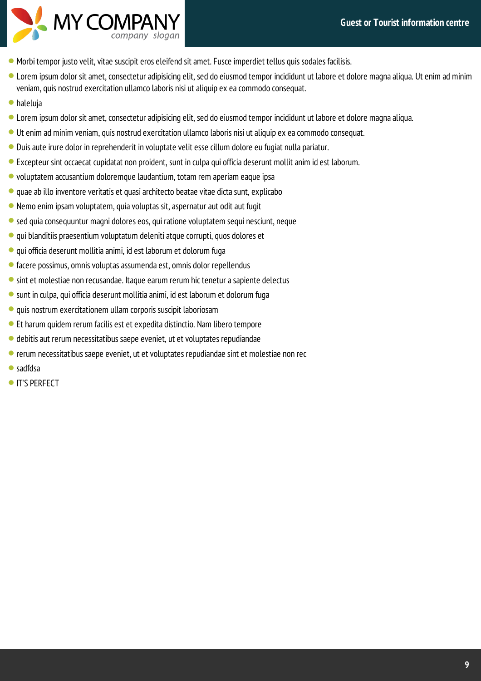

- Morbi tempor justo velit, vitae suscipit eros eleifend sit amet. Fusce imperdiet tellus quis sodales facilisis.
- Lorem ipsum dolor sit amet, consectetur adipisicing elit, sed do eiusmod tempor incididunt ut labore et dolore magna aliqua. Ut enim ad minim veniam, quis nostrud exercitation ullamco laboris nisi ut aliquip ex eacommodo consequat.
- haleluja
- Lorem ipsum dolor sit amet, consectetur adipisicing elit, sed do eiusmod tempor incididunt ut labore et dolore magnaaliqua.
- Ut enim ad minim veniam, quis nostrud exercitation ullamco laboris nisi ut aliquip ex eacommodo consequat.
- Duisaute irure dolor in reprehenderit in voluptate velit esse cillum dolore eu fugiat nulla pariatur.
- Excepteur sint occaecat cupidatat non proident, sunt in culpa qui officia deserunt mollit anim id est laborum.
- voluptatem accusantium doloremque laudantium, totam rem aperiam eaque ipsa
- $\bullet$  quae ab illo inventore veritatis et quasi architecto beatae vitae dicta sunt, explicabo
- Nemo enim ipsam voluptatem, quia voluptas sit, aspernatur aut odit aut fugit
- sed quia consequuntur magni dolores eos, qui ratione voluptatem sequi nesciunt, neque
- $\bullet$  qui blanditiis praesentium voluptatum deleniti atque corrupti, quos dolores et
- qui officia deserunt mollitiaanimi, id est laborum et dolorum fuga
- $\bullet$  facere possimus, omnis voluptas assumenda est, omnis dolor repellendus
- sint et molestiae non recusandae. Itaque earum rerum hic tenetur a sapiente delectus
- sunt in culpa, qui officia deserunt mollitiaanimi, id est laborum et dolorum fuga
- quis nostrum exercitationem ullam corporis suscipit laboriosam
- Et harum quidem rerum facilis est et expedita distinctio. Nam libero tempore
- debitisaut rerum necessitatibus saepe eveniet, ut et voluptates repudiandae
- rerum necessitatibus saepe eveniet, ut et voluptates repudiandae sint et molestiae non rec
- sadfdsa
- **IT'S PERFECT**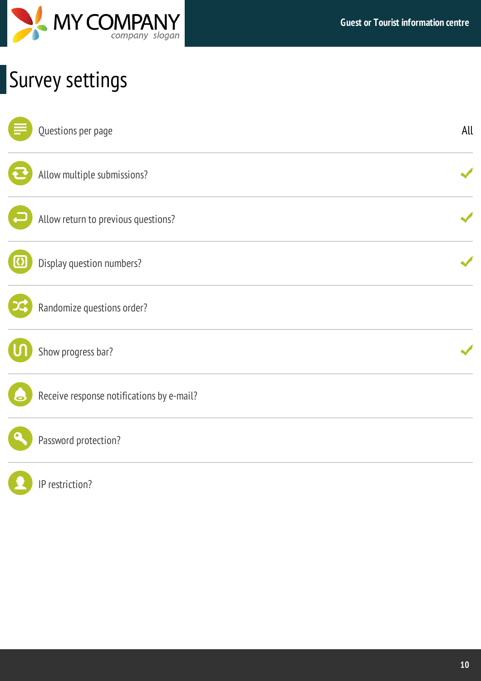

# Survey settings

| Questions per page                        | All |
|-------------------------------------------|-----|
| Allow multiple submissions?               |     |
| Allow return to previous questions?       |     |
| Display question numbers?                 |     |
| Randomize questions order?                |     |
| Show progress bar?                        |     |
| Receive response notifications by e-mail? |     |
| Password protection?                      |     |
| IP restriction?                           |     |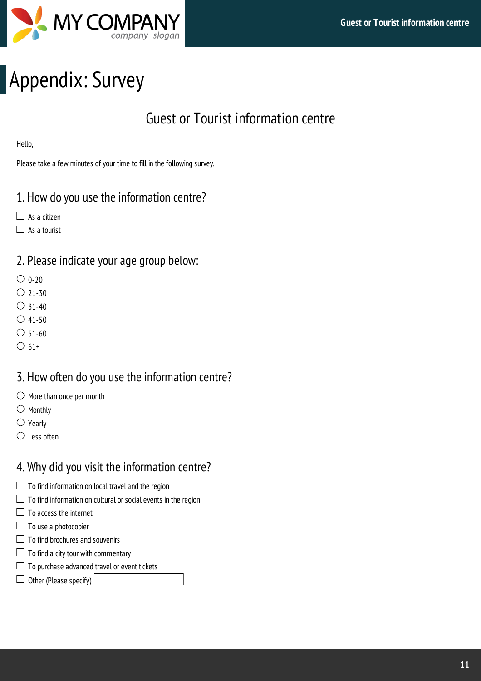

# Appendix: Survey

## Guest or Tourist information centre

Hello,

Please take a few minutes of your time to fill in the following survey.

### 1. How do you use the information centre?

- $\Box$  As a citizen
- $\Box$  As a tourist

### 2. Please indicate your age group below:

- $\bigcirc$  0-20
- $O$  21-30
- $\bigcirc$  31-40
- $\bigcirc$  41-50
- $\bigcirc$  51-60
- $\bigcirc$  61+

### 3. How often do you use the information centre?

- $\bigcirc$  More than once per month
- $\bigcirc$  Monthly
- $\bigcirc$  Yearly
- $\bigcirc$  Less often

### 4. Why did you visit the information centre?

- $\Box$  To find information on local travel and the region
- $\Box$  To find information on cultural or social events in the region
- $\Box$  To access the internet
- $\Box$  To use a photocopier
- $\Box$  To find brochures and souvenirs
- $\Box$  To find a city tour with commentary
- $\Box$  To purchase advanced travel or event tickets
- $\Box$  Other (Please specify)